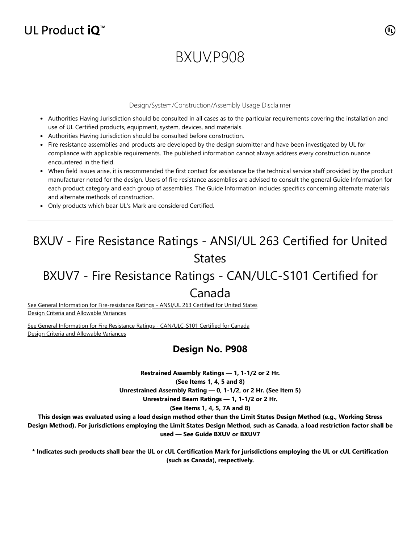# UL Product  $iQ^m$

# BXUV.P908

### Design/System/Construction/Assembly Usage Disclaimer

- Authorities Having Jurisdiction should be consulted in all cases as to the particular requirements covering the installation and use of UL Certified products, equipment, system, devices, and materials.
- Authorities Having Jurisdiction should be consulted before construction.
- Fire resistance assemblies and products are developed by the design submitter and have been investigated by UL for compliance with applicable requirements. The published information cannot always address every construction nuance encountered in the field.
- When field issues arise, it is recommended the first contact for assistance be the technical service staff provided by the product manufacturer noted for the design. Users of fire resistance assemblies are advised to consult the general Guide Information for each product category and each group of assemblies. The Guide Information includes specifics concerning alternate materials and alternate methods of construction.
- Only products which bear UL's Mark are considered Certified.

# BXUV - Fire Resistance Ratings - ANSI/UL 263 Certified for United States

# BXUV7 - Fire Resistance Ratings - CAN/ULC-S101 Certified for

# Canada

[See General Information for Fire-resistance Ratings - ANSI/UL 263 Certified for United States](https://iq.ulprospector.com/en/cgi-bin/XYV/template/LISEXT/1FRAME/showpage.html?name=BXUV.GuideInfo&ccnshorttitle=Fire-resistance+Ratings+-+ANSI/UL+263&objid=1074327030&cfgid=1073741824&version=versionless&parent_id=1073984818&sequence=1) Design Criteria and Allowable Variances

[See General Information for Fire Resistance Ratings - CAN/ULC-S101 Certified for Canada](https://iq.ulprospector.com/en/cgi-bin/XYV/template/LISEXT/1FRAME/showpage.html?name=BXUV7.GuideInfo&ccnshorttitle=Fire+Resistance+Ratings+-+CAN/ULC-S101+Certified+for+Canada&objid=1074205658&cfgid=1073741824&version=versionless&parent_id=1073984820&sequence=1) Design Criteria and Allowable Variances

# **Design No. P908**

**Restrained Assembly Ratings — 1, 1-1/2 or 2 Hr. (See Items 1, 4, 5 and 8) Unrestrained Assembly Rating — 0, 1-1/2, or 2 Hr. (See Item 5)**

**Unrestrained Beam Ratings — 1, 1-1/2 or 2 Hr.**

## **(See Items 1, 4, 5, 7A and 8)**

**This design was evaluated using a load design method other than the Limit States Design Method (e.g., Working Stress Design Method). For jurisdictions employing the Limit States Design Method, such as Canada, a load restriction factor shall be used — See Guide [BXUV](https://database.ul.com/cgi-bin/XYV/template/LISEXT/1FRAME/showpage.html?name=BXUV.GuideInfo&ccnshorttitle=Fire-resistance+Ratings+-+ANSI/UL+263&objid=1074327030&cfgid=1073741824&version=versionless&parent_id=1073984818&sequence=1) or [BXUV7](https://database.ul.com/cgi-bin/XYV/template/LISEXT/1FRAME/showpage.html?name=BXUV7.GuideInfo&ccnshorttitle=Fire+Resistance+Ratings+-+CAN/ULC-S101M+Certified+for+Canada&objid=1074205658&cfgid=1073741824&version=versionless&parent_id=1073984820&sequence=1)**

**\* Indicates such products shall bear the UL or cUL Certification Mark for jurisdictions employing the UL or cUL Certification (such as Canada), respectively.**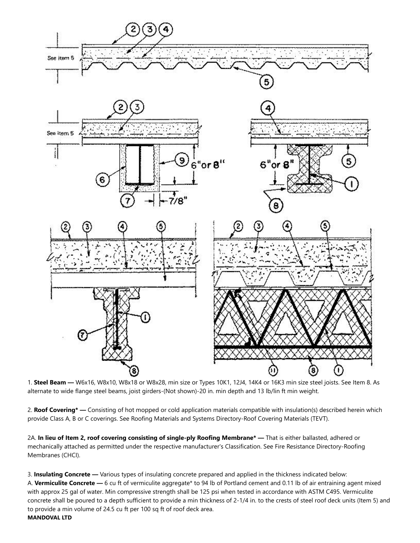

1. **Steel Beam —** W6x16, W8x10, W8x18 or W8x28, min size or Types 10K1, 12J4, 14K4 or 16K3 min size steel joists. See Item 8. As alternate to wide flange steel beams, joist girders-(Not shown)-20 in. min depth and 13 lb/lin ft min weight.

2. **Roof Covering\* —** Consisting of hot mopped or cold application materials compatible with insulation(s) described herein which provide Class A, B or C coverings. See Roofing Materials and Systems Directory-Roof Covering Materials (TEVT).

2A. **In lieu of Item 2, roof covering consisting of single-ply Roofing Membrane\* —** That is either ballasted, adhered or mechanically attached as permitted under the respective manufacturer's Classification. See Fire Resistance Directory-Roofing Membranes (CHCI).

3. **Insulating Concrete —** Various types of insulating concrete prepared and applied in the thickness indicated below: A. **Vermiculite Concrete —** 6 cu ft of vermiculite aggregate\* to 94 lb of Portland cement and 0.11 lb of air entraining agent mixed with approx 25 gal of water. Min compressive strength shall be 125 psi when tested in accordance with ASTM C495. Vermiculite concrete shall be poured to a depth sufficient to provide a min thickness of 2-1/4 in. to the crests of steel roof deck units (Item 5) and to provide a min volume of 24.5 cu ft per 100 sq ft of roof deck area. **MANDOVAL LTD**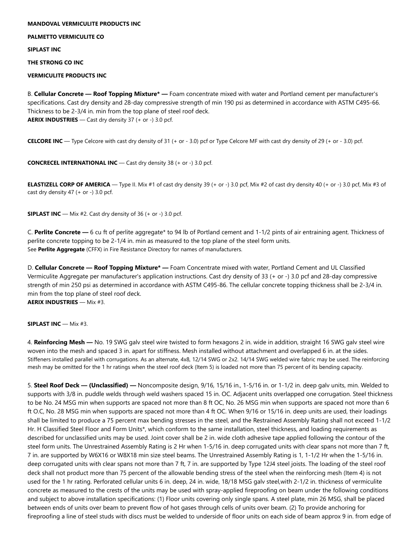### **MANDOVAL VERMICULITE PRODUCTS INC**

**PALMETTO VERMICULITE CO**

**SIPLAST INC**

**THE STRONG CO INC**

**VERMICULITE PRODUCTS INC**

B. **Cellular Concrete — Roof Topping Mixture\* —** Foam concentrate mixed with water and Portland cement per manufacturer's specifications. Cast dry density and 28-day compressive strength of min 190 psi as determined in accordance with ASTM C495-66. Thickness to be 2-3/4 in. min from the top plane of steel roof deck. **AERIX INDUSTRIES** — Cast dry density 37 (+ or -) 3.0 pcf.

**CELCORE INC** — Type Celcore with cast dry density of 31 (+ or - 3.0) pcf or Type Celcore MF with cast dry density of 29 (+ or - 3.0) pcf.

**CONCRECEL INTERNATIONAL INC** — Cast dry density 38 (+ or -) 3.0 pcf.

**ELASTIZELL CORP OF AMERICA** — Type II. Mix #1 of cast dry density 39 (+ or -) 3.0 pcf, Mix #2 of cast dry density 40 (+ or -) 3.0 pcf, Mix #3 of cast dry density  $47$  (+ or -) 3.0 pcf.

**SIPLAST INC** — Mix #2. Cast dry density of 36 (+ or -) 3.0 pcf.

C. **Perlite Concrete —** 6 cu ft of perlite aggregate\* to 94 lb of Portland cement and 1-1/2 pints of air entraining agent. Thickness of perlite concrete topping to be 2-1/4 in. min as measured to the top plane of the steel form units. See **Perlite Aggregate** (CFFX) in Fire Resistance Directory for names of manufacturers.

D. **Cellular Concrete — Roof Topping Mixture\* —** Foam Concentrate mixed with water, Portland Cement and UL Classified Vermiculite Aggregate per manufacturer's application instructions. Cast dry density of 33 (+ or -) 3.0 pcf and 28-day compressive strength of min 250 psi as determined in accordance with ASTM C495-86. The cellular concrete topping thickness shall be 2-3/4 in. min from the top plane of steel roof deck. **AERIX INDUSTRIES** — Mix #3.

**SIPLAST INC** — Mix #3.

4. **Reinforcing Mesh —** No. 19 SWG galv steel wire twisted to form hexagons 2 in. wide in addition, straight 16 SWG galv steel wire woven into the mesh and spaced 3 in. apart for stiffness. Mesh installed without attachment and overlapped 6 in. at the sides. Stiffeners installed parallel with corrugations. As an alternate, 4x8, 12/14 SWG or 2x2. 14/14 SWG welded wire fabric may be used. The reinforcing mesh may be omitted for the 1 hr ratings when the steel roof deck (Item 5) is loaded not more than 75 percent of its bending capacity.

5. **Steel Roof Deck — (Unclassified) —** Noncomposite design, 9/16, 15/16 in., 1-5/16 in. or 1-1/2 in. deep galv units, min. Welded to supports with 3/8 in. puddle welds through weld washers spaced 15 in. OC. Adjacent units overlapped one corrugation. Steel thickness to be No. 24 MSG min when supports are spaced not more than 8 ft OC, No. 26 MSG min when supports are spaced not more than 6 ft O.C, No. 28 MSG min when supports are spaced not more than 4 ft OC. When 9/16 or 15/16 in. deep units are used, their loadings shall be limited to produce a 75 percent max bending stresses in the steel, and the Restrained Assembly Rating shall not exceed 1-1/2 Hr. H Classified Steel Floor and Form Units\*, which conform to the same installation, steel thickness, and loading requirements as described for unclassified units may be used. Joint cover shall be 2 in. wide cloth adhesive tape applied following the contour of the steel form units. The Unrestrained Assembly Rating is 2 Hr when 1-5/16 in. deep corrugated units with clear spans not more than 7 ft, 7 in. are supported by W6X16 or W8X18 min size steel beams. The Unrestrained Assembly Rating is 1, 1-1/2 Hr when the 1-5/16 in. deep corrugated units with clear spans not more than 7 ft, 7 in. are supported by Type 12J4 steel joists. The loading of the steel roof deck shall not product more than 75 percent of the allowable bending stress of the steel when the reinforcing mesh (Item 4) is not used for the 1 hr rating. Perforated cellular units 6 in. deep, 24 in. wide, 18/18 MSG galv steel,with 2-1/2 in. thickness of vermiculite concrete as measured to the crests of the units may be used with spray-applied fireproofing on beam under the following conditions and subject to above installation specifications: (1) Floor units covering only single spans. A steel plate, min 26 MSG, shall be placed between ends of units over beam to prevent flow of hot gases through cells of units over beam. (2) To provide anchoring for fireproofing a line of steel studs with discs must be welded to underside of floor units on each side of beam approx 9 in. from edge of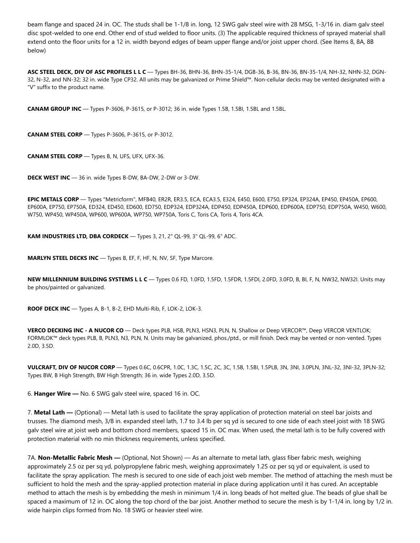beam flange and spaced 24 in. OC. The studs shall be 1-1/8 in. long, 12 SWG galv steel wire with 28 MSG, 1-3/16 in. diam galv steel disc spot-welded to one end. Other end of stud welded to floor units. (3) The applicable required thickness of sprayed material shall extend onto the floor units for a 12 in. width beyond edges of beam upper flange and/or joist upper chord. (See Items 8, 8A, 8B below)

**ASC STEEL DECK, DIV OF ASC PROFILES L L C** — Types BH-36, BHN-36, BHN-35-1/4, DGB-36, B-36, BN-36, BN-35-1/4, NH-32, NHN-32, DGN-32, N-32, and NN-32; 32 in. wide Type CP32. All units may be galvanized or Prime Shield™. Non-cellular decks may be vented designated with a "V" suffix to the product name.

**CANAM GROUP INC** — Types P-3606, P-3615, or P-3012; 36 in. wide Types 1.5B, 1.5BI, 1.5BL and 1.5BL.

**CANAM STEEL CORP** — Types P-3606, P-3615, or P-3012.

**CANAM STEEL CORP** — Types B, N, UFS, UFX, UFX-36.

**DECK WEST INC** — 36 in. wide Types B-DW, BA-DW, 2-DW or 3-DW.

**EPIC METALS CORP** — Types "Metricform", MFB40, ER2R, ER3.5, ECA, ECA3.5, E324, E450, E600, E750, EP324, EP324A, EP450, EP450A, EP600, EP600A, EP750, EP750A, ED324, ED450, ED600, ED750, EDP324, EDP324A, EDP450, EDP450A, EDP600, EDP600A, EDP750, EDP750A, W450, W600, W750, WP450, WP450A, WP600, WP600A, WP750, WP750A, Toris C, Toris CA, Toris 4, Toris 4CA.

**KAM INDUSTRIES LTD, DBA CORDECK** — Types 3, 21, 2" QL-99, 3" QL-99, 6" ADC.

**MARLYN STEEL DECKS INC** — Types B, EF, F, HF, N, NV, SF, Type Marcore.

**NEW MILLENNIUM BUILDING SYSTEMS L L C** — Types 0.6 FD, 1.0FD, 1.5FD, 1.5FDR, 1.5FDI, 2.0FD, 3.0FD, B, BI, F, N, NW32, NW32I. Units may be phos/painted or galvanized.

**ROOF DECK INC** — Types A, B-1, B-2, EHD Multi-Rib, F, LOK-2, LOK-3.

**VERCO DECKING INC - A NUCOR CO** — Deck types PLB, HSB, PLN3, HSN3, PLN, N, Shallow or Deep VERCOR™, Deep VERCOR VENTLOK; FORMLOK™ deck types PLB, B, PLN3, N3, PLN, N. Units may be galvanized, phos./ptd., or mill finish. Deck may be vented or non-vented. Types 2.0D, 3.5D.

**VULCRAFT, DIV OF NUCOR CORP** — Types 0.6C, 0.6CPR, 1.0C, 1.3C, 1.5C, 2C, 3C, 1.5B, 1.5BI, 1.5PLB, 3N, 3NI, 3.0PLN, 3NL-32, 3NI-32, 3PLN-32; Types BW, B High Strength, BW High Strength; 36 in. wide Types 2.0D, 3.5D.

6. **Hanger Wire —** No. 6 SWG galv steel wire, spaced 16 in. OC.

7. **Metal Lath —** (Optional) — Metal lath is used to facilitate the spray application of protection material on steel bar joists and trusses. The diamond mesh, 3/8 in. expanded steel lath, 1.7 to 3.4 lb per sq yd is secured to one side of each steel joist with 18 SWG galv steel wire at joist web and bottom chord members, spaced 15 in. OC max. When used, the metal lath is to be fully covered with protection material with no min thickness requirements, unless specified.

7A. **Non-Metallic Fabric Mesh —** (Optional, Not Shown) — As an alternate to metal lath, glass fiber fabric mesh, weighing approximately 2.5 oz per sq yd, polypropylene fabric mesh, weighing approximately 1.25 oz per sq yd or equivalent, is used to facilitate the spray application. The mesh is secured to one side of each joist web member. The method of attaching the mesh must be sufficient to hold the mesh and the spray-applied protection material in place during application until it has cured. An acceptable method to attach the mesh is by embedding the mesh in minimum 1/4 in. long beads of hot melted glue. The beads of glue shall be spaced a maximum of 12 in. OC along the top chord of the bar joist. Another method to secure the mesh is by 1-1/4 in. long by 1/2 in. wide hairpin clips formed from No. 18 SWG or heavier steel wire.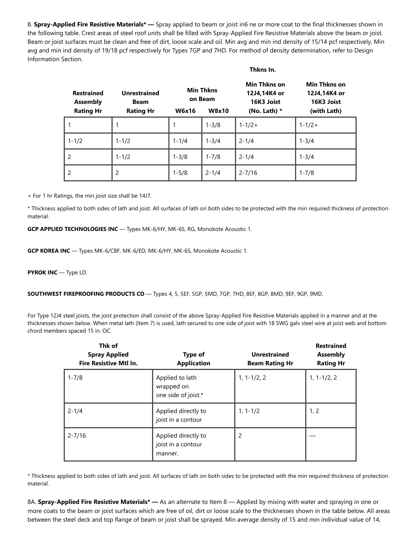8. **Spray-Applied Fire Resistive Materials\* —** Spray applied to beam or joist in6 ne or more coat to the final thicknesses shown in the following table. Crest areas of steel roof units shall be filled with Spray-Applied Fire Resistive Materials above the beam or joist. Beam or joist surfaces must be clean and free of dirt, loose scale and oil. Min avg and min ind density of 15/14 pcf respectively. Min avg and min ind density of 19/18 pcf respectively for Types 7GP and 7HD. For method of density determination, refer to Design Information Section.

#### **Thkns In.**

| <b>Restrained</b><br><b>Assembly</b><br><b>Rating Hr</b> | <b>Unrestrained</b><br><b>Beam</b><br><b>Rating Hr</b> | <b>W6x16</b> | <b>Min Thkns</b><br>on Beam<br><b>W8x10</b> | Min Thkns on<br>12J4,14K4 or<br>16K3 Joist<br>(No. Lath) $*$ | Min Thkns on<br>12J4,14K4 or<br>16K3 Joist<br>(with Lath) |
|----------------------------------------------------------|--------------------------------------------------------|--------------|---------------------------------------------|--------------------------------------------------------------|-----------------------------------------------------------|
|                                                          |                                                        |              | $1 - 3/8$                                   | $1 - 1/2 +$                                                  | $1 - 1/2 +$                                               |
| $1 - 1/2$                                                | $1 - 1/2$                                              | $1 - 1/4$    | $1 - 3/4$                                   | $2 - 1/4$                                                    | $1 - 3/4$                                                 |
| 2                                                        | $1 - 1/2$                                              | $1 - 3/8$    | $1 - 7/8$                                   | $2 - 1/4$                                                    | $1 - 3/4$                                                 |
| $\mathfrak{p}$                                           | 2                                                      | $1 - 5/8$    | $2 - 1/4$                                   | $2 - 7/16$                                                   | $1 - 7/8$                                                 |

+ For 1 hr Ratings, the min joist size shall be 14J7.

\* Thickness applied to both sides of lath and joist. All surfaces of lath on both sides to be protected with the min required thickness of protection material.

**GCP APPLIED TECHNOLOGIES INC** — Types MK-6/HY, MK-6S, RG, Monokote Acoustic 1.

**GCP KOREA INC** — Types MK-6/CBF, MK-6/ED, MK-6/HY, MK-6S, Monokote Acoustic 1.

**PYROK INC** — Type LD.

**SOUTHWEST FIREPROOFING PRODUCTS CO** — Types 4, 5, 5EF, 5GP, 5MD, 7GP, 7HD, 8EF, 8GP, 8MD, 9EF, 9GP, 9MD.

For Type 12J4 steel joists, the joist protection shall consist of the above Spray-Applied Fire Resistive Materials applied in a manner and at the thicknesses shown below. When metal lath (Item 7) is used, lath secured to one side of joist with 18 SWG galv steel wire at joist web and bottom chord members spaced 15 in. OC.

| Thk of<br><b>Spray Applied</b><br><b>Fire Resistive Mtl In.</b> | Type of<br><b>Application</b>                        | <b>Unrestrained</b><br><b>Beam Rating Hr</b> | <b>Restrained</b><br><b>Assembly</b><br><b>Rating Hr</b> |
|-----------------------------------------------------------------|------------------------------------------------------|----------------------------------------------|----------------------------------------------------------|
| $1 - 7/8$                                                       | Applied to lath<br>wrapped on<br>one side of joist.* | $1, 1 - 1/2, 2$                              | $1, 1 - 1/2, 2$                                          |
| $2 - 1/4$                                                       | Applied directly to<br>joist in a contour            | $1, 1 - 1/2$                                 | 1, 2                                                     |
| $2 - 7/16$                                                      | Applied directly to<br>joist in a contour<br>manner. | 2                                            |                                                          |

\* Thickness applied to both sides of lath and joist. All surfaces of lath on both sides to be protected with the min required thickness of protection material.

8A. **Spray-Applied Fire Resistive Materials\* —** As an alternate to Item 8 — Applied by mixing with water and spraying in one or more coats to the beam or joist surfaces which are free of oil, dirt or loose scale to the thicknesses shown in the table below. All areas between the steel deck and top flange of beam or joist shall be sprayed. Min average density of 15 and min individual value of 14,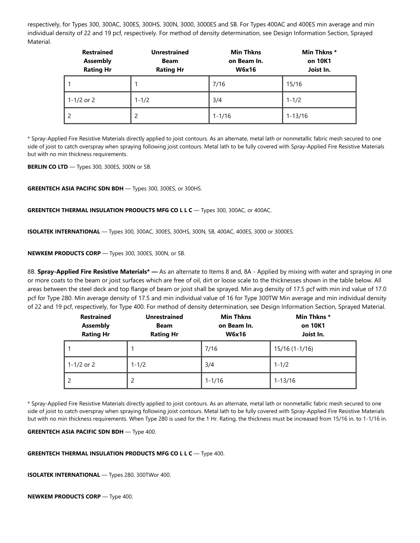respectively, for Types 300, 300AC, 300ES, 300HS, 300N, 3000, 3000ES and SB. For Types 400AC and 400ES min average and min individual density of 22 and 19 pcf, respectively. For method of density determination, see Design Information Section, Sprayed Material.

| <b>Restrained</b><br><b>Assembly</b><br><b>Rating Hr</b> | <b>Unrestrained</b><br><b>Beam</b><br><b>Rating Hr</b> | <b>Min Thkns</b><br>on Beam In.<br><b>W6x16</b> | Min Thkns*<br>on 10K1<br>Joist In. |
|----------------------------------------------------------|--------------------------------------------------------|-------------------------------------------------|------------------------------------|
|                                                          |                                                        | 7/16                                            | 15/16                              |
| 1-1/2 or 2                                               | $1 - 1/2$                                              | 3/4                                             | $1 - 1/2$                          |
|                                                          | $\overline{2}$                                         | $1 - 1/16$                                      | $1 - 13/16$                        |

\* Spray-Applied Fire Resistive Materials directly applied to joist contours. As an alternate, metal lath or nonmetallic fabric mesh secured to one side of joist to catch overspray when spraying following joist contours. Metal lath to be fully covered with Spray-Applied Fire Resistive Materials but with no min thickness requirements.

**BERLIN CO LTD** — Types 300, 300ES, 300N or SB.

**GREENTECH ASIA PACIFIC SDN BDH** — Types 300, 300ES, or 300HS.

**GREENTECH THERMAL INSULATION PRODUCTS MFG CO L L C** — Types 300, 300AC, or 400AC.

**ISOLATEK INTERNATIONAL** — Types 300, 300AC, 300ES, 300HS, 300N, SB, 400AC, 400ES, 3000 or 3000ES.

**NEWKEM PRODUCTS CORP** — Types 300, 300ES, 300N, or SB.

8B. **Spray-Applied Fire Resistive Materials\* —** As an alternate to Items 8 and, 8A - Applied by mixing with water and spraying in one or more coats to the beam or joist surfaces which are free of oil, dirt or loose scale to the thicknesses shown in the table below. All areas between the steel deck and top flange of beam or joist shall be sprayed. Min avg density of 17.5 pcf with min ind value of 17.0 pcf for Type 280. Min average density of 17.5 and min individual value of 16 for Type 300TW Min average and min individual density of 22 and 19 pcf, respectively, for Type 400. For method of density determination, see Design Information Section, Sprayed Material.

| <b>Restrained</b><br><b>Assembly</b><br><b>Rating Hr</b> | <b>Unrestrained</b><br><b>Beam</b><br><b>Rating Hr</b> | <b>Min Thkns</b><br>on Beam In.<br><b>W6x16</b> | Min Thkns*<br>on 10K1<br>Joist In. |
|----------------------------------------------------------|--------------------------------------------------------|-------------------------------------------------|------------------------------------|
|                                                          |                                                        | 7/16                                            | 15/16 (1-1/16)                     |
| 1-1/2 or 2                                               | $1 - 1/2$                                              | 3/4                                             | $1 - 1/2$                          |
|                                                          | 2                                                      | $1 - 1/16$                                      | $1 - 13/16$                        |

\* Spray-Applied Fire Resistive Materials directly applied to joist contours. As an alternate, metal lath or nonmetallic fabric mesh secured to one side of joist to catch overspray when spraying following joist contours. Metal lath to be fully covered with Spray-Applied Fire Resistive Materials but with no min thickness requirements. When Type 280 is used for the 1 Hr. Rating, the thickness must be increased from 15/16 in. to 1-1/16 in.

**GREENTECH ASIA PACIFIC SDN BDH** — Type 400.

### **GREENTECH THERMAL INSULATION PRODUCTS MFG CO L L C** — Type 400.

**ISOLATEK INTERNATIONAL** — Types 280, 300TWor 400.

**NEWKEM PRODUCTS CORP** — Type 400.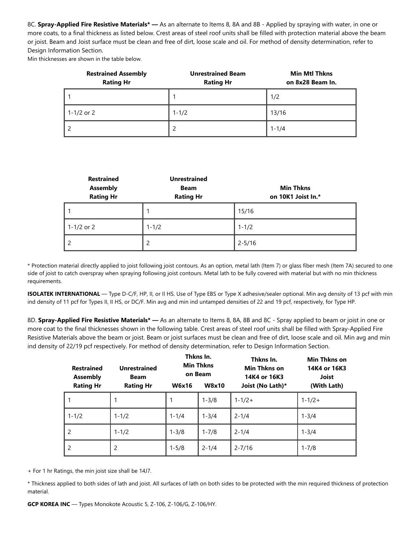8C. **Spray-Applied Fire Resistive Materials\* —** As an alternate to Items 8, 8A and 8B - Applied by spraying with water, in one or more coats, to a final thickness as listed below. Crest areas of steel roof units shall be filled with protection material above the beam or joist. Beam and Joist surface must be clean and free of dirt, loose scale and oil. For method of density determination, refer to Design Information Section.

Min thicknesses are shown in the table below.

| <b>Restrained Assembly</b><br><b>Rating Hr</b> | <b>Unrestrained Beam</b><br><b>Rating Hr</b> | <b>Min Mtl Thkns</b><br>on 8x28 Beam In. |
|------------------------------------------------|----------------------------------------------|------------------------------------------|
|                                                |                                              | 1/2                                      |
| 1-1/2 or 2                                     | $1 - 1/2$                                    | 13/16                                    |
|                                                |                                              | $1 - 1/4$                                |

| <b>Restrained</b><br><b>Assembly</b><br><b>Rating Hr</b> | <b>Unrestrained</b><br><b>Beam</b><br><b>Rating Hr</b> | <b>Min Thkns</b><br>on 10K1 Joist In.* |
|----------------------------------------------------------|--------------------------------------------------------|----------------------------------------|
|                                                          |                                                        | 15/16                                  |
| 1-1/2 or 2                                               | $1 - 1/2$                                              | $1 - 1/2$                              |
|                                                          | $\overline{c}$                                         | $2 - 5/16$                             |

\* Protection material directly applied to joist following joist contours. As an option, metal lath (Item 7) or glass fiber mesh (Item 7A) secured to one side of joist to catch overspray when spraying following joist contours. Metal lath to be fully covered with material but with no min thickness requirements.

**ISOLATEK INTERNATIONAL** — Type D-C/F, HP, II, or II HS. Use of Type EBS or Type X adhesive/sealer optional. Min avg density of 13 pcf with min ind density of 11 pcf for Types II, II HS, or DC/F. Min avg and min ind untamped densities of 22 and 19 pcf, respectively, for Type HP.

8D. **Spray-Applied Fire Resistive Materials\* —** As an alternate to Items 8, 8A, 8B and 8C - Spray applied to beam or joist in one or more coat to the final thicknesses shown in the following table. Crest areas of steel roof units shall be filled with Spray-Applied Fire Resistive Materials above the beam or joist. Beam or joist surfaces must be clean and free of dirt, loose scale and oil. Min avg and min ind density of 22/19 pcf respectively. For method of density determination, refer to Design Information Section.

| <b>Restrained</b><br><b>Assembly</b> | <b>Unrestrained</b><br><b>Beam</b> |              | Thkns In.<br><b>Min Thkns</b><br>on Beam | Thkns In.<br>Min Thkns on<br>14K4 or 16K3 | Min Thkns on<br>14K4 or 16K3<br>Joist |
|--------------------------------------|------------------------------------|--------------|------------------------------------------|-------------------------------------------|---------------------------------------|
| <b>Rating Hr</b>                     | <b>Rating Hr</b>                   | <b>W6x16</b> | <b>W8x10</b>                             | Joist (No Lath)*                          | (With Lath)                           |
|                                      |                                    |              | $1 - 3/8$                                | $1 - 1/2 +$                               | $1 - 1/2 +$                           |
| $1 - 1/2$                            | $1 - 1/2$                          | $1 - 1/4$    | $1 - 3/4$                                | $2 - 1/4$                                 | $1 - 3/4$                             |
| 2                                    | $1 - 1/2$                          | $1 - 3/8$    | $1 - 7/8$                                | $2 - 1/4$                                 | $1 - 3/4$                             |
| $\mathcal{P}$                        | 2                                  | $1 - 5/8$    | $2 - 1/4$                                | $2 - 7/16$                                | $1 - 7/8$                             |

+ For 1 hr Ratings, the min joist size shall be 14J7.

\* Thickness applied to both sides of lath and joist. All surfaces of lath on both sides to be protected with the min required thickness of protection material.

**GCP KOREA INC** — Types Monokote Acoustic 5, Z-106, Z-106/G, Z-106/HY.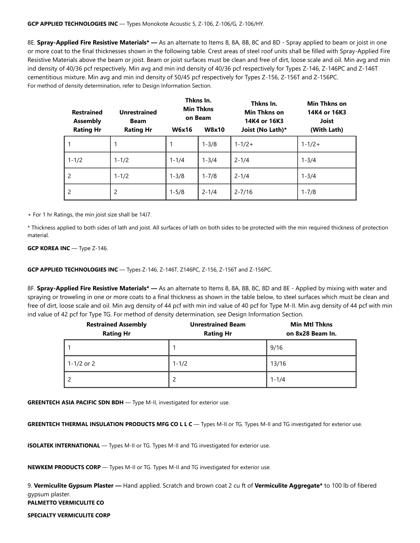### **GCP APPLIED TECHNOLOGIES INC** — Types Monokote Acoustic 5, Z-106, Z-106/G, Z-106/HY.

8E. **Spray-Applied Fire Resistive Materials\* —** As an alternate to Items 8, 8A, 8B, 8C and 8D - Spray applied to beam or joist in one or more coat to the final thicknesses shown in the following table. Crest areas of steel roof units shall be filled with Spray-Applied Fire Resistive Materials above the beam or joist. Beam or joist surfaces must be clean and free of dirt, loose scale and oil. Min avg and min ind density of 40/36 pcf respectively. Min avg and min ind density of 40/36 pcf respectively for Types Z-146, Z-146PC and Z-146T cementitious mixture. Min avg and min ind density of 50/45 pcf respectively for Types Z-156, Z-156T and Z-156PC. For method of density determination, refer to Design Information Section.

| <b>Restrained</b><br><b>Assembly</b> | <b>Unrestrained</b><br><b>Beam</b> | Thkns In.<br><b>Min Thkns</b><br>on Beam |              | Thkns In.<br>Min Thkns on<br>14K4 or 16K3 |             |
|--------------------------------------|------------------------------------|------------------------------------------|--------------|-------------------------------------------|-------------|
| <b>Rating Hr</b>                     | <b>Rating Hr</b>                   | <b>W6x16</b>                             | <b>W8x10</b> | Joist (No Lath)*                          | (With Lath) |
|                                      |                                    |                                          | $1 - 3/8$    | $1 - 1/2 +$                               | $1 - 1/2 +$ |
| $1 - 1/2$                            | $1 - 1/2$                          | $1 - 1/4$                                | $1 - 3/4$    | $2 - 1/4$                                 | $1 - 3/4$   |
| 2                                    | $1 - 1/2$                          | $1 - 3/8$                                | $1 - 7/8$    | $2 - 1/4$                                 | $1 - 3/4$   |
| $\mathcal{P}$                        | 2                                  | $1 - 5/8$                                | $2 - 1/4$    | $2 - 7/16$                                | $1 - 7/8$   |

+ For 1 hr Ratings, the min joist size shall be 14J7.

\* Thickness applied to both sides of lath and joist. All surfaces of lath on both sides to be protected with the min required thickness of protection material.

**GCP KOREA INC** — Type Z-146.

**GCP APPLIED TECHNOLOGIES INC** — Types Z-146, Z-146T, Z146PC, Z-156, Z-156T and Z-156PC.

8F. **Spray-Applied Fire Resistive Materials\* —** As an alternate to Items 8, 8A, 8B, 8C, 8D and 8E - Applied by mixing with water and spraying or troweling in one or more coats to a final thickness as shown in the table below, to steel surfaces which must be clean and free of dirt, loose scale and oil. Min avg density of 44 pcf with min ind value of 40 pcf for Type M-II. Min avg density of 44 pcf with min ind value of 42 pcf for Type TG. For method of density determination, see Design Information Section.

| <b>Restrained Assembly</b><br><b>Rating Hr</b> | <b>Unrestrained Beam</b><br><b>Rating Hr</b> | <b>Min Mtl Thkns</b><br>on 8x28 Beam In. |  |
|------------------------------------------------|----------------------------------------------|------------------------------------------|--|
|                                                |                                              | 9/16                                     |  |
| 1-1/2 or 2                                     | $1 - 1/2$                                    | 13/16                                    |  |
|                                                |                                              | $1 - 1/4$                                |  |

**GREENTECH ASIA PACIFIC SDN BDH** - Type M-II, investigated for exterior use.

**GREENTECH THERMAL INSULATION PRODUCTS MFG CO L L C** — Types M-II or TG. Types M-II and TG investigated for exterior use.

**ISOLATEK INTERNATIONAL** — Types M-II or TG. Types M-II and TG investigated for exterior use.

**NEWKEM PRODUCTS CORP** — Types M-II or TG. Types M-II and TG investigated for exterior use.

9. **Vermiculite Gypsum Plaster —** Hand applied. Scratch and brown coat 2 cu ft of **Vermiculite Aggregate\*** to 100 lb of fibered gypsum plaster. **PALMETTO VERMICULITE CO**

**SPECIALTY VERMICULITE CORP**